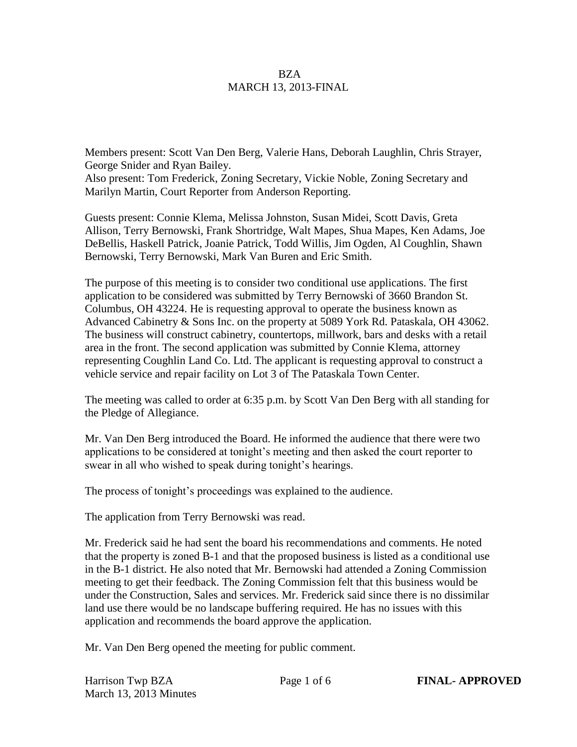## **BZA** MARCH 13, 2013-FINAL

Members present: Scott Van Den Berg, Valerie Hans, Deborah Laughlin, Chris Strayer, George Snider and Ryan Bailey.

Also present: Tom Frederick, Zoning Secretary, Vickie Noble, Zoning Secretary and Marilyn Martin, Court Reporter from Anderson Reporting.

Guests present: Connie Klema, Melissa Johnston, Susan Midei, Scott Davis, Greta Allison, Terry Bernowski, Frank Shortridge, Walt Mapes, Shua Mapes, Ken Adams, Joe DeBellis, Haskell Patrick, Joanie Patrick, Todd Willis, Jim Ogden, Al Coughlin, Shawn Bernowski, Terry Bernowski, Mark Van Buren and Eric Smith.

The purpose of this meeting is to consider two conditional use applications. The first application to be considered was submitted by Terry Bernowski of 3660 Brandon St. Columbus, OH 43224. He is requesting approval to operate the business known as Advanced Cabinetry & Sons Inc. on the property at 5089 York Rd. Pataskala, OH 43062. The business will construct cabinetry, countertops, millwork, bars and desks with a retail area in the front. The second application was submitted by Connie Klema, attorney representing Coughlin Land Co. Ltd. The applicant is requesting approval to construct a vehicle service and repair facility on Lot 3 of The Pataskala Town Center.

The meeting was called to order at 6:35 p.m. by Scott Van Den Berg with all standing for the Pledge of Allegiance.

Mr. Van Den Berg introduced the Board. He informed the audience that there were two applications to be considered at tonight's meeting and then asked the court reporter to swear in all who wished to speak during tonight's hearings.

The process of tonight's proceedings was explained to the audience.

The application from Terry Bernowski was read.

Mr. Frederick said he had sent the board his recommendations and comments. He noted that the property is zoned B-1 and that the proposed business is listed as a conditional use in the B-1 district. He also noted that Mr. Bernowski had attended a Zoning Commission meeting to get their feedback. The Zoning Commission felt that this business would be under the Construction, Sales and services. Mr. Frederick said since there is no dissimilar land use there would be no landscape buffering required. He has no issues with this application and recommends the board approve the application.

Mr. Van Den Berg opened the meeting for public comment.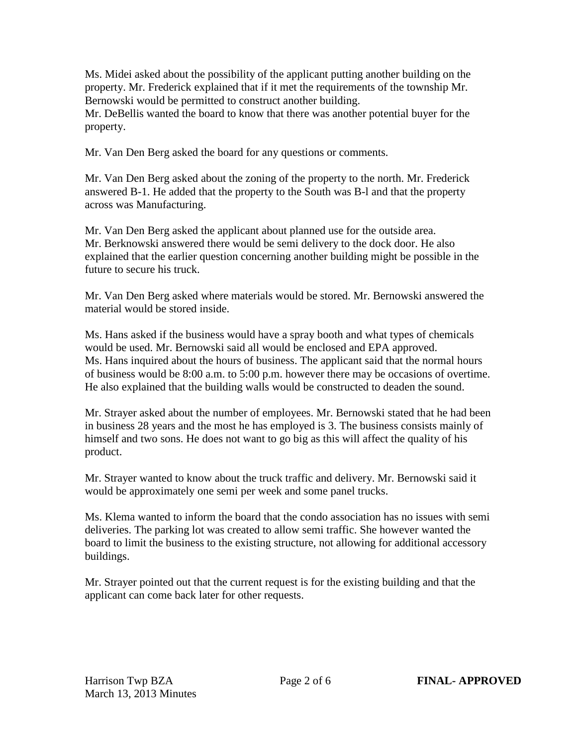Ms. Midei asked about the possibility of the applicant putting another building on the property. Mr. Frederick explained that if it met the requirements of the township Mr. Bernowski would be permitted to construct another building.

Mr. DeBellis wanted the board to know that there was another potential buyer for the property.

Mr. Van Den Berg asked the board for any questions or comments.

Mr. Van Den Berg asked about the zoning of the property to the north. Mr. Frederick answered B-1. He added that the property to the South was B-l and that the property across was Manufacturing.

Mr. Van Den Berg asked the applicant about planned use for the outside area. Mr. Berknowski answered there would be semi delivery to the dock door. He also explained that the earlier question concerning another building might be possible in the future to secure his truck.

Mr. Van Den Berg asked where materials would be stored. Mr. Bernowski answered the material would be stored inside.

Ms. Hans asked if the business would have a spray booth and what types of chemicals would be used. Mr. Bernowski said all would be enclosed and EPA approved. Ms. Hans inquired about the hours of business. The applicant said that the normal hours of business would be 8:00 a.m. to 5:00 p.m. however there may be occasions of overtime. He also explained that the building walls would be constructed to deaden the sound.

Mr. Strayer asked about the number of employees. Mr. Bernowski stated that he had been in business 28 years and the most he has employed is 3. The business consists mainly of himself and two sons. He does not want to go big as this will affect the quality of his product.

Mr. Strayer wanted to know about the truck traffic and delivery. Mr. Bernowski said it would be approximately one semi per week and some panel trucks.

Ms. Klema wanted to inform the board that the condo association has no issues with semi deliveries. The parking lot was created to allow semi traffic. She however wanted the board to limit the business to the existing structure, not allowing for additional accessory buildings.

Mr. Strayer pointed out that the current request is for the existing building and that the applicant can come back later for other requests.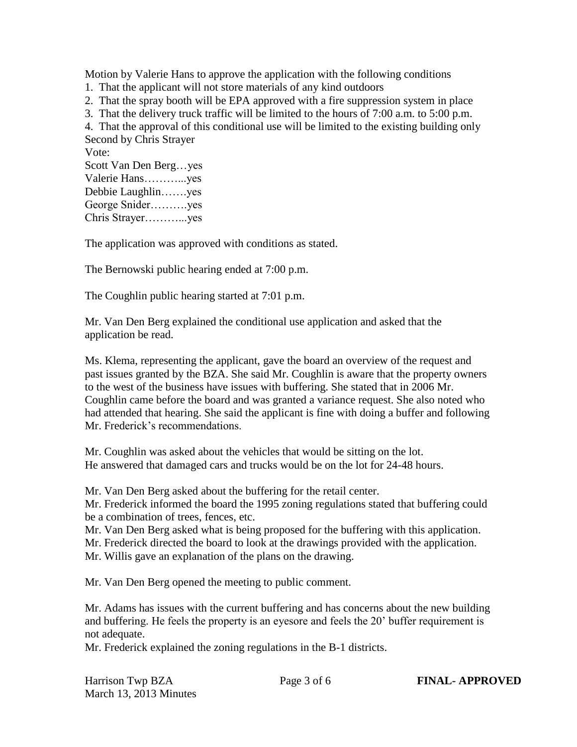Motion by Valerie Hans to approve the application with the following conditions

1. That the applicant will not store materials of any kind outdoors

2. That the spray booth will be EPA approved with a fire suppression system in place

3. That the delivery truck traffic will be limited to the hours of 7:00 a.m. to 5:00 p.m.

4. That the approval of this conditional use will be limited to the existing building only

Second by Chris Strayer

Vote: Scott Van Den Berg…yes Valerie Hans………...yes Debbie Laughlin…….yes George Snider……….yes Chris Strayer………...yes

The application was approved with conditions as stated.

The Bernowski public hearing ended at 7:00 p.m.

The Coughlin public hearing started at 7:01 p.m.

Mr. Van Den Berg explained the conditional use application and asked that the application be read.

Ms. Klema, representing the applicant, gave the board an overview of the request and past issues granted by the BZA. She said Mr. Coughlin is aware that the property owners to the west of the business have issues with buffering. She stated that in 2006 Mr. Coughlin came before the board and was granted a variance request. She also noted who had attended that hearing. She said the applicant is fine with doing a buffer and following Mr. Frederick's recommendations.

Mr. Coughlin was asked about the vehicles that would be sitting on the lot. He answered that damaged cars and trucks would be on the lot for 24-48 hours.

Mr. Van Den Berg asked about the buffering for the retail center.

Mr. Frederick informed the board the 1995 zoning regulations stated that buffering could be a combination of trees, fences, etc.

Mr. Van Den Berg asked what is being proposed for the buffering with this application.

Mr. Frederick directed the board to look at the drawings provided with the application.

Mr. Willis gave an explanation of the plans on the drawing.

Mr. Van Den Berg opened the meeting to public comment.

Mr. Adams has issues with the current buffering and has concerns about the new building and buffering. He feels the property is an eyesore and feels the 20' buffer requirement is not adequate.

Mr. Frederick explained the zoning regulations in the B-1 districts.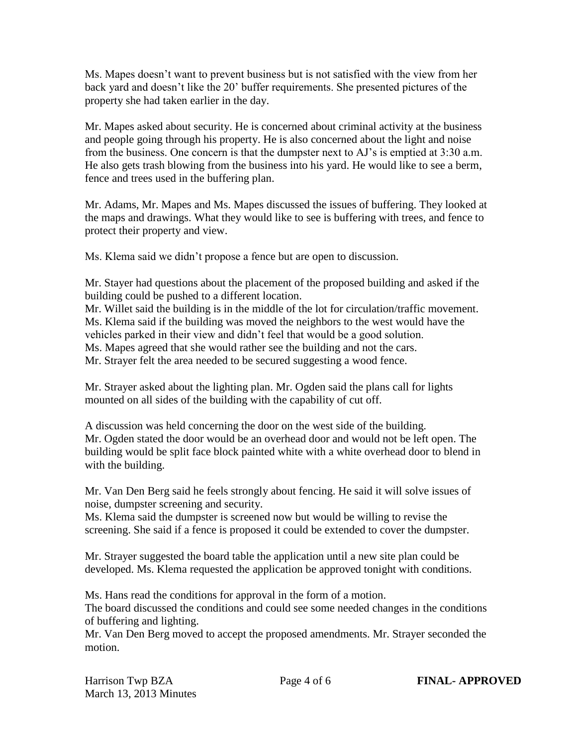Ms. Mapes doesn't want to prevent business but is not satisfied with the view from her back yard and doesn't like the 20' buffer requirements. She presented pictures of the property she had taken earlier in the day.

Mr. Mapes asked about security. He is concerned about criminal activity at the business and people going through his property. He is also concerned about the light and noise from the business. One concern is that the dumpster next to AJ's is emptied at 3:30 a.m. He also gets trash blowing from the business into his yard. He would like to see a berm, fence and trees used in the buffering plan.

Mr. Adams, Mr. Mapes and Ms. Mapes discussed the issues of buffering. They looked at the maps and drawings. What they would like to see is buffering with trees, and fence to protect their property and view.

Ms. Klema said we didn't propose a fence but are open to discussion.

Mr. Stayer had questions about the placement of the proposed building and asked if the building could be pushed to a different location.

Mr. Willet said the building is in the middle of the lot for circulation/traffic movement. Ms. Klema said if the building was moved the neighbors to the west would have the vehicles parked in their view and didn't feel that would be a good solution.

Ms. Mapes agreed that she would rather see the building and not the cars.

Mr. Strayer felt the area needed to be secured suggesting a wood fence.

Mr. Strayer asked about the lighting plan. Mr. Ogden said the plans call for lights mounted on all sides of the building with the capability of cut off.

A discussion was held concerning the door on the west side of the building. Mr. Ogden stated the door would be an overhead door and would not be left open. The building would be split face block painted white with a white overhead door to blend in with the building.

Mr. Van Den Berg said he feels strongly about fencing. He said it will solve issues of noise, dumpster screening and security.

Ms. Klema said the dumpster is screened now but would be willing to revise the screening. She said if a fence is proposed it could be extended to cover the dumpster.

Mr. Strayer suggested the board table the application until a new site plan could be developed. Ms. Klema requested the application be approved tonight with conditions.

Ms. Hans read the conditions for approval in the form of a motion. The board discussed the conditions and could see some needed changes in the conditions of buffering and lighting.

Mr. Van Den Berg moved to accept the proposed amendments. Mr. Strayer seconded the motion.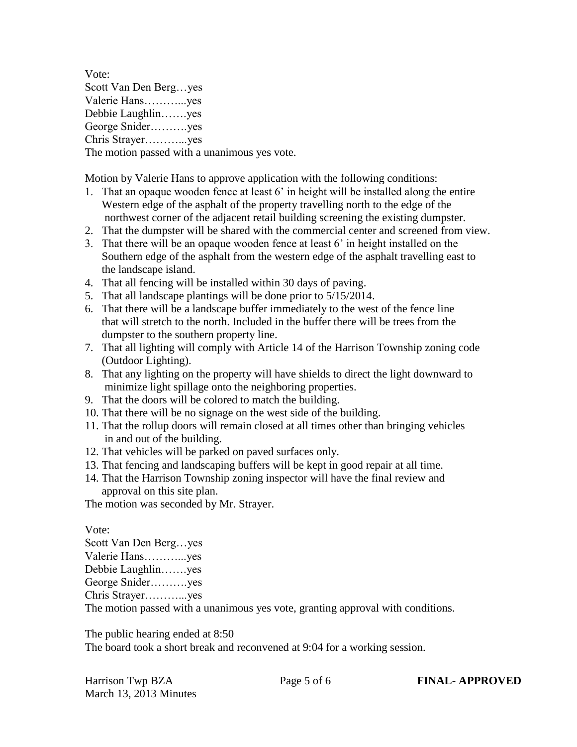Vote: Scott Van Den Berg…yes Valerie Hans………...yes Debbie Laughlin…….yes George Snider……….yes Chris Strayer………...yes

The motion passed with a unanimous yes vote.

Motion by Valerie Hans to approve application with the following conditions:

- 1. That an opaque wooden fence at least 6' in height will be installed along the entire Western edge of the asphalt of the property travelling north to the edge of the northwest corner of the adjacent retail building screening the existing dumpster.
- 2. That the dumpster will be shared with the commercial center and screened from view.
- 3. That there will be an opaque wooden fence at least 6' in height installed on the Southern edge of the asphalt from the western edge of the asphalt travelling east to the landscape island.
- 4. That all fencing will be installed within 30 days of paving.
- 5. That all landscape plantings will be done prior to 5/15/2014.
- 6. That there will be a landscape buffer immediately to the west of the fence line that will stretch to the north. Included in the buffer there will be trees from the dumpster to the southern property line.
- 7. That all lighting will comply with Article 14 of the Harrison Township zoning code (Outdoor Lighting).
- 8. That any lighting on the property will have shields to direct the light downward to minimize light spillage onto the neighboring properties.
- 9. That the doors will be colored to match the building.
- 10. That there will be no signage on the west side of the building.
- 11. That the rollup doors will remain closed at all times other than bringing vehicles in and out of the building.
- 12. That vehicles will be parked on paved surfaces only.
- 13. That fencing and landscaping buffers will be kept in good repair at all time.
- 14. That the Harrison Township zoning inspector will have the final review and approval on this site plan.

The motion was seconded by Mr. Strayer.

Vote:

Scott Van Den Berg…yes

Valerie Hans………...yes

Debbie Laughlin…….yes

George Snider……….yes

Chris Strayer………...yes

The motion passed with a unanimous yes vote, granting approval with conditions.

The public hearing ended at 8:50

The board took a short break and reconvened at 9:04 for a working session.

Harrison Twp BZA Page 5 of 6 **FINAL- APPROVED** March 13, 2013 Minutes